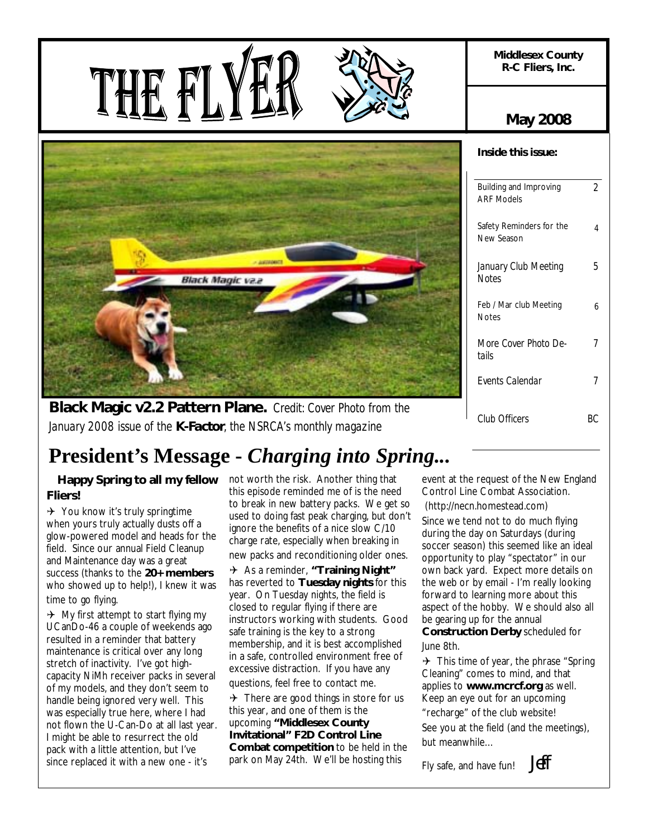**Middlesex County R-C Fliers, Inc.** 

**May 2008** 

*2* 

*5* 

4

*7* 

6







*January 2008 issue of the K-Factor, the NSRCA's monthly magazine*

# **President's Message -** *Charging into Spring...*

#### **Happy Spring to all my fellow** not worth the risk. Another thing that **Fliers!**

 $\rightarrow$  You know it's truly springtime when yours truly actually dusts off a glow-powered model and heads for the field. Since our annual Field Cleanup and Maintenance day was a great success (thanks to the **20+ members**  who showed up to help!), I knew it was time to go flying.

 $\rightarrow$  My first attempt to start flying my UCanDo-46 a couple of weekends ago resulted in a reminder that battery maintenance is critical over any long stretch of inactivity. I've got highcapacity NiMh receiver packs in several of my models, and they don't seem to handle being ignored very well. This was especially true here, where I had not flown the U-Can-Do at all last year. I might be able to resurrect the old pack with a little attention, but I've since replaced it with a new one - it's

this episode reminded me of is the need to break in new battery packs. We get so used to doing fast peak charging, but don't ignore the benefits of a nice slow C/10 charge rate, especially when breaking in new packs and reconditioning older ones.

4 As a reminder, **"Training Night"** has reverted to **Tuesday nights** for this year. On Tuesday nights, the field is closed to regular flying if there are instructors working with students. Good safe training is the key to a strong membership, and it is best accomplished in a safe, controlled environment free of excessive distraction. If you have any

questions, feel free to contact me.

 $\rightarrow$  There are good things in store for us this year, and one of them is the upcoming **"Middlesex County Invitational" F2D Control Line Combat competition** to be held in the park on May 24th. We'll be hosting this

event at the request of the New England Control Line Combat Association.

(http://necn.homestead.com)

Since we tend not to do much flying during the day on Saturdays (during soccer season) this seemed like an ideal opportunity to play "spectator" in our own back yard. Expect more details on the web or by email - I'm really looking forward to learning more about this aspect of the hobby. We should also all be gearing up for the annual **Construction Derby** scheduled for June 8th.

 $\rightarrow$  This time of year, the phrase "Spring" Cleaning" comes to mind, and that applies to **www.mcrcf.org** as well. Keep an eye out for an upcoming "recharge" of the club website! See you at the field (and the meetings), but meanwhile…

Fly safe, and have fun! Jeff

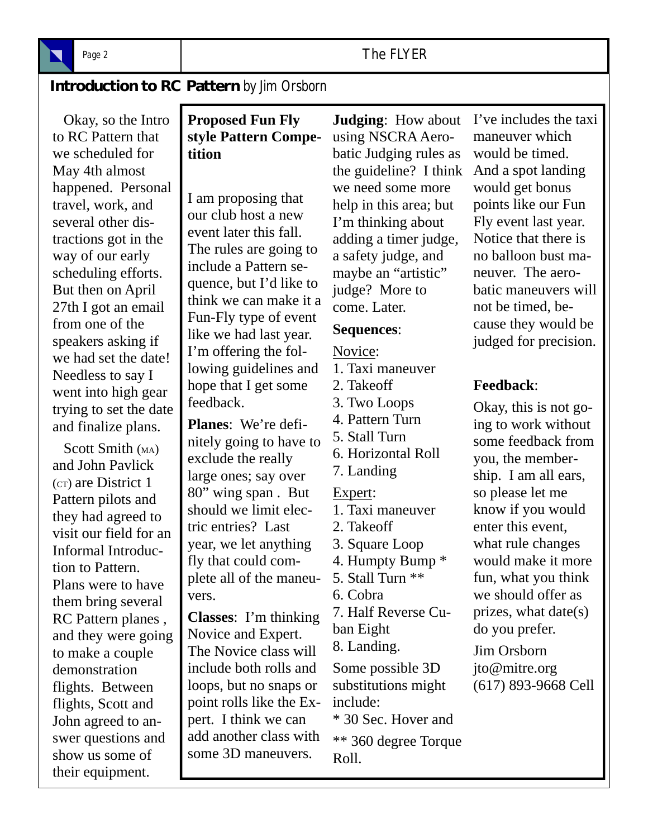

# **Introduction to RC Pattern** *by Jim Orsborn*

 Okay, so the Intro to RC Pattern that we scheduled for May 4th almost happened. Personal travel, work, and several other distractions got in the way of our early scheduling efforts. But then on April 27th I got an email from one of the speakers asking if we had set the date! Needless to say I went into high gear trying to set the date and finalize plans.

Scott Smith (MA) and John Pavlick (CT) are District 1 Pattern pilots and they had agreed to visit our field for an Informal Introduction to Pattern. Plans were to have them bring several RC Pattern planes , and they were going to make a couple demonstration flights. Between flights, Scott and John agreed to answer questions and show us some of their equipment.

# **Proposed Fun Fly style Pattern Competition**

I am proposing that our club host a new event later this fall. The rules are going to include a Pattern sequence, but I'd like to think we can make it a Fun-Fly type of event like we had last year. I'm offering the following guidelines and hope that I get some feedback.

**Planes**: We're definitely going to have to exclude the really large ones; say over 80" wing span . But should we limit electric entries? Last year, we let anything fly that could complete all of the maneuvers.

**Classes**: I'm thinking Novice and Expert. The Novice class will include both rolls and loops, but no snaps or point rolls like the Expert. I think we can add another class with some 3D maneuvers.

**Judging**: How about using NSCRA Aerobatic Judging rules as the guideline? I think we need some more help in this area; but I'm thinking about adding a timer judge, a safety judge, and maybe an "artistic" judge? More to come. Later.

#### **Sequences**:

#### Novice: 1. Taxi maneuver

2. Takeoff 3. Two Loops 4. Pattern Turn 5. Stall Turn 6. Horizontal Roll 7. Landing Expert: 1. Taxi maneuver 2. Takeoff 3. Square Loop 4. Humpty Bump \* 5. Stall Turn \*\* 6. Cobra 7. Half Reverse Cuban Eight 8. Landing. Some possible 3D substitutions might include: \* 30 Sec. Hover and

> \*\* 360 degree Torque Roll.

I've includes the taxi maneuver which would be timed. And a spot landing would get bonus points like our Fun Fly event last year. Notice that there is no balloon bust maneuver. The aerobatic maneuvers will not be timed, because they would be judged for precision.

## **Feedback**:

Okay, this is not going to work without some feedback from you, the membership. I am all ears, so please let me know if you would enter this event, what rule changes would make it more fun, what you think we should offer as prizes, what date(s) do you prefer.

Jim Orsborn jto@mitre.org (617) 893-9668 Cell

# Page 2 **The FLYER**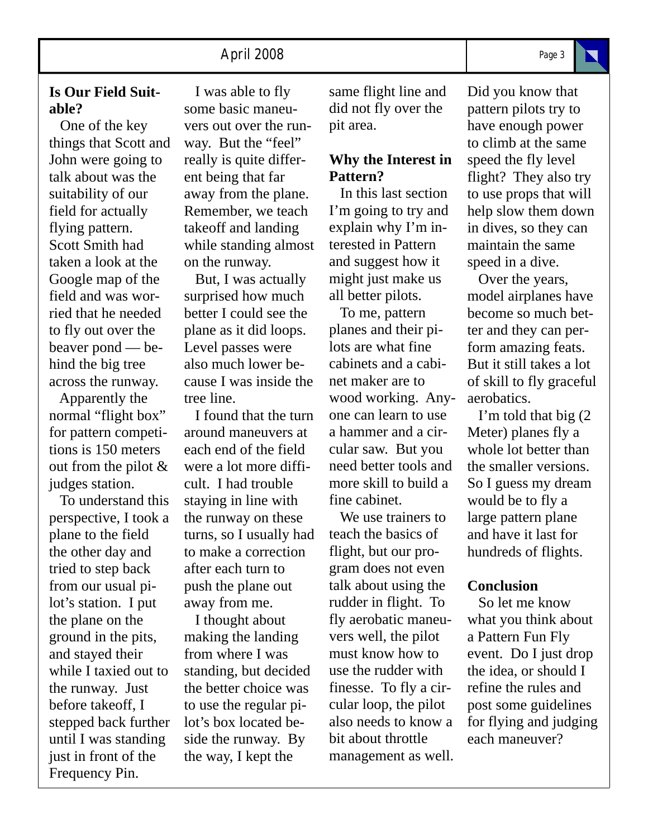## **Is Our Field Suitable?**

 One of the key things that Scott and John were going to talk about was the suitability of our field for actually flying pattern. Scott Smith had taken a look at the Google map of the field and was worried that he needed to fly out over the beaver pond — behind the big tree across the runway.

 Apparently the normal "flight box" for pattern competitions is 150 meters out from the pilot & judges station.

 To understand this perspective, I took a plane to the field the other day and tried to step back from our usual pilot's station. I put the plane on the ground in the pits, and stayed their while I taxied out to the runway. Just before takeoff, I stepped back further until I was standing just in front of the Frequency Pin.

 I was able to fly some basic maneuvers out over the runway. But the "feel" really is quite different being that far away from the plane. Remember, we teach takeoff and landing while standing almost on the runway.

 But, I was actually surprised how much better I could see the plane as it did loops. Level passes were also much lower because I was inside the tree line.

 I found that the turn around maneuvers at each end of the field were a lot more difficult. I had trouble staying in line with the runway on these turns, so I usually had to make a correction after each turn to push the plane out away from me.

 I thought about making the landing from where I was standing, but decided the better choice was to use the regular pilot's box located beside the runway. By the way, I kept the

same flight line and did not fly over the pit area.

# **Why the Interest in Pattern?**

 In this last section I'm going to try and explain why I'm interested in Pattern and suggest how it might just make us all better pilots.

 To me, pattern planes and their pilots are what fine cabinets and a cabinet maker are to wood working. Anyone can learn to use a hammer and a circular saw. But you need better tools and more skill to build a fine cabinet.

 We use trainers to teach the basics of flight, but our program does not even talk about using the rudder in flight. To fly aerobatic maneuvers well, the pilot must know how to use the rudder with finesse. To fly a circular loop, the pilot also needs to know a bit about throttle management as well.

Did you know that pattern pilots try to have enough power to climb at the same speed the fly level flight? They also try to use props that will help slow them down in dives, so they can maintain the same speed in a dive.

 Over the years, model airplanes have become so much better and they can perform amazing feats. But it still takes a lot of skill to fly graceful aerobatics.

 I'm told that big (2 Meter) planes fly a whole lot better than the smaller versions. So I guess my dream would be to fly a large pattern plane and have it last for hundreds of flights.

#### **Conclusion**

 So let me know what you think about a Pattern Fun Fly event. Do I just drop the idea, or should I refine the rules and post some guidelines for flying and judging each maneuver?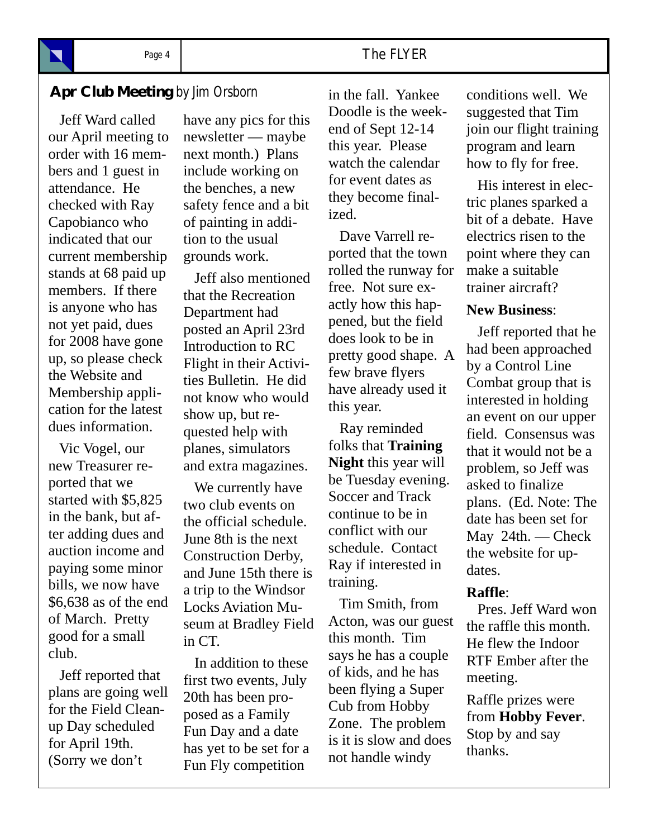# Page 4 **The FLYER**

# **Apr Club Meeting** by Jim Orsborn in the fall. Yankee conditions well. We

 Jeff Ward called our April meeting to order with 16 members and 1 guest in attendance. He checked with Ray Capobianco who indicated that our current membership stands at 68 paid up members. If there is anyone who has not yet paid, dues for 2008 have gone up, so please check the Website and Membership application for the latest dues information.

 Vic Vogel, our new Treasurer reported that we started with \$5,825 in the bank, but after adding dues and auction income and paying some minor bills, we now have \$6,638 as of the end of March. Pretty good for a small club.

 Jeff reported that plans are going well for the Field Cleanup Day scheduled for April 19th. (Sorry we don't

have any pics for this newsletter — maybe next month.) Plans include working on the benches, a new safety fence and a bit of painting in addition to the usual grounds work.

 Jeff also mentioned that the Recreation Department had posted an April 23rd Introduction to RC Flight in their Activities Bulletin. He did not know who would show up, but requested help with planes, simulators and extra magazines.

 We currently have two club events on the official schedule. June 8th is the next Construction Derby, and June 15th there is a trip to the Windsor Locks Aviation Museum at Bradley Field in CT.

 In addition to these first two events, July 20th has been proposed as a Family Fun Day and a date has yet to be set for a Fun Fly competition

in the fall. Yankee Doodle is the weekend of Sept 12-14 this year. Please watch the calendar for event dates as they become finalized.

 Dave Varrell reported that the town rolled the runway for free. Not sure exactly how this happened, but the field does look to be in pretty good shape. A few brave flyers have already used it this year.

 Ray reminded folks that **Training Night** this year will be Tuesday evening. Soccer and Track continue to be in conflict with our schedule. Contact Ray if interested in training.

 Tim Smith, from Acton, was our guest this month. Tim says he has a couple of kids, and he has been flying a Super Cub from Hobby Zone. The problem is it is slow and does not handle windy

suggested that Tim join our flight training program and learn how to fly for free.

 His interest in electric planes sparked a bit of a debate. Have electrics risen to the point where they can make a suitable trainer aircraft?

## **New Business**:

 Jeff reported that he had been approached by a Control Line Combat group that is interested in holding an event on our upper field. Consensus was that it would not be a problem, so Jeff was asked to finalize plans. (Ed. Note: The date has been set for May 24th. — Check the website for updates.

## **Raffle**:

 Pres. Jeff Ward won the raffle this month. He flew the Indoor RTF Ember after the meeting.

Raffle prizes were from **Hobby Fever**. Stop by and say thanks.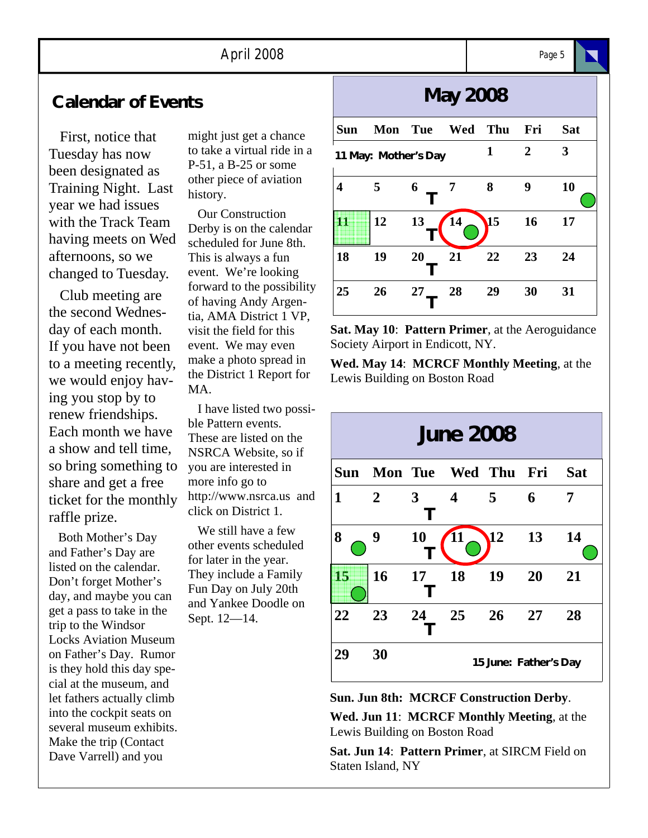# **Calendar of Events**

 First, notice that Tuesday has now been designated as Training Night. Last year we had issues with the Track Team having meets on Wed afternoons, so we changed to Tuesday.

 Club meeting are the second Wednesday of each month. If you have not been to a meeting recently, we would enjoy having you stop by to renew friendships. Each month we have a show and tell time, so bring something to share and get a free ticket for the monthly raffle prize.

 Both Mother's Day and Father's Day are listed on the calendar. Don't forget Mother's day, and maybe you can get a pass to take in the trip to the Windsor Locks Aviation Museum on Father's Day. Rumor is they hold this day special at the museum, and let fathers actually climb into the cockpit seats on several museum exhibits. Make the trip (Contact Dave Varrell) and you

might just get a chance to take a virtual ride in a P-51, a B-25 or some other piece of aviation history.

 Our Construction Derby is on the calendar scheduled for June 8th. This is always a fun event. We're looking forward to the possibility of having Andy Argentia, AMA District 1 VP, visit the field for this event. We may even make a photo spread in the District 1 Report for MA.

 I have listed two possible Pattern events. These are listed on the NSRCA Website, so if you are interested in more info go to http://www.nsrca.us and click on District 1.

 We still have a few other events scheduled for later in the year. They include a Family Fun Day on July 20th and Yankee Doodle on Sept. 12—14.

# **May 2008**

| <b>Sun</b>           | Mon Tue |    | Wed | Thu             | Fri | <b>Sat</b> |
|----------------------|---------|----|-----|-----------------|-----|------------|
| 11 May: Mother's Day |         |    |     | 1               | 2   | 3          |
| 4                    | 5       | 6  | 7   | 8               | 9   | 10         |
| Ш                    | 12      | 13 | 14  | $\overline{15}$ | 16  | 17         |
| 18                   | 19      | 20 | 21  | 22              | 23  | 24         |
| 25                   | 26      | 27 | 28  | 29              | 30  | 31         |

**Sat. May 10**: **Pattern Primer**, at the Aeroguidance Society Airport in Endicott, NY.

**Wed. May 14**: **MCRCF Monthly Meeting**, at the Lewis Building on Boston Road



**Sun. Jun 8th: MCRCF Construction Derby**.

**Wed. Jun 11**: **MCRCF Monthly Meeting**, at the Lewis Building on Boston Road

**Sat. Jun 14**: **Pattern Primer**, at SIRCM Field on Staten Island, NY